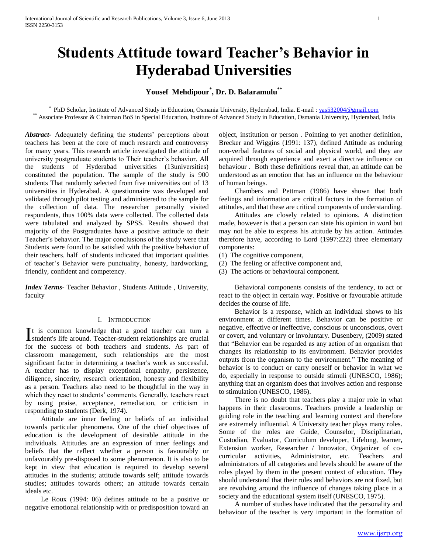# **Students Attitude toward Teacher's Behavior in Hyderabad Universities**

# **Yousef Mehdipour\* , Dr. D. Balaramulu\*\***

\* PhD Scholar, Institute of Advanced Study in Education, Osmania University, Hyderabad, India. E-mail [: yas532004@gmail.com](mailto:yas532004@gmail.com) \*\* Associate Professor & Chairman BoS in Special Education, Institute of Advanced Study in Education, Osmania University, Hyderabad, India

*Abstract***-** Adequately defining the students' perceptions about teachers has been at the core of much research and controversy for many years. This research article investigated the attitude of university postgraduate students to Their teacher's behavior. All the students of Hyderabad universities (13universities) constituted the population. The sample of the study is 900 students That randomly selected from five universities out of 13 universities in Hyderabad. A questionnaire was developed and validated through pilot testing and administered to the sample for the collection of data. The researcher personally visited respondents, thus 100% data were collected. The collected data were tabulated and analyzed by SPSS. Results showed that majority of the Postgraduates have a positive attitude to their Teacher's behavior. The major conclusions of the study were that Students were found to be satisfied with the positive behavior of their teachers. half of students indicated that important qualities of teacher's Behavior were punctuality, honesty, hardworking, friendly, confident and competency.

*Index Terms*- Teacher Behavior , Students Attitude , University, faculty

### I. INTRODUCTION

t is common knowledge that a good teacher can turn a It is common knowledge that a good teacher can turn a student's life around. Teacher-student relationships are crucial for the success of both teachers and students. As part of classroom management, such relationships are the most significant factor in determining a teacher's work as successful. A teacher has to display exceptional empathy, persistence, diligence, sincerity, research orientation, honesty and flexibility as a person. Teachers also need to be thoughtful in the way in which they react to students' comments. Generally, teachers react by using praise, acceptance, remediation, or criticism in responding to students (Derk, 1974).

 Attitude are inner feeling or beliefs of an individual towards particular phenomena. One of the chief objectives of education is the development of desirable attitude in the individuals. Attitudes are an expression of inner feelings and beliefs that the reflect whether a person is favourably or unfavourably pre-disposed to some phenomenon. It is also to be kept in view that education is required to develop several attitudes in the students; attitude towards self; attitude towards studies; attitudes towards others; an attitude towards certain ideals etc.

 Le Roux (1994: 06) defines attitude to be a positive or negative emotional relationship with or predisposition toward an object, institution or person . Pointing to yet another definition, Brecker and Wiggins (1991: 137), defined Attitude as enduring non-verbal features of social and physical world, and they are acquired through experience and exert a directive influence on behaviour . Both these definitions reveal that, an attitude can be understood as an emotion that has an influence on the behaviour of human beings.

 Chambers and Pettman (1986) have shown that both feelings and information are critical factors in the formation of attitudes, and that these are critical components of understanding.

 Attitudes are closely related to opinions. A distinction made, however is that a person can state his opinion in word but may not be able to express his attitude by his action. Attitudes therefore have, according to Lord (1997:222) three elementary components:

- (1) The cognitive component,
- (2) The feeling or affective component and,
- (3) The actions or behavioural component.

 Behavioral components consists of the tendency, to act or react to the object in certain way. Positive or favourable attitude decides the course of life.

 Behavior is a response, which an individual shows to his environment at different times. Behavior can be positive or negative, effective or ineffective, conscious or unconscious, overt or covert, and voluntary or involuntary. Dusenbery, (2009) stated that "Behavior can be regarded as any action of an organism that changes its relationship to its environment. Behavior provides outputs from the organism to the environment." The meaning of behavior is to conduct or carry oneself or behavior in what we do, especially in response to outside stimuli (UNESCO, 1986); anything that an organism does that involves action and response to stimulation (UNESCO, 1986).

 There is no doubt that teachers play a major role in what happens in their classrooms. Teachers provide a leadership or guiding role in the teaching and learning context and therefore are extremely influential. A University teacher plays many roles. Some of the roles are Guide, Counselor, Disciplinarian, Custodian, Evaluator, Curriculum developer, Lifelong, learner, Extension worker, Researcher / Innovator, Organizer of cocurricular activities, Administrator, etc. Teachers and administrators of all categories and levels should be aware of the roles played by them in the present context of education. They should understand that their roles and behaviors are not fixed, but are revolving around the influence of changes taking place in a society and the educational system itself (UNESCO, 1975).

 A number of studies have indicated that the personality and behaviour of the teacher is very important in the formation of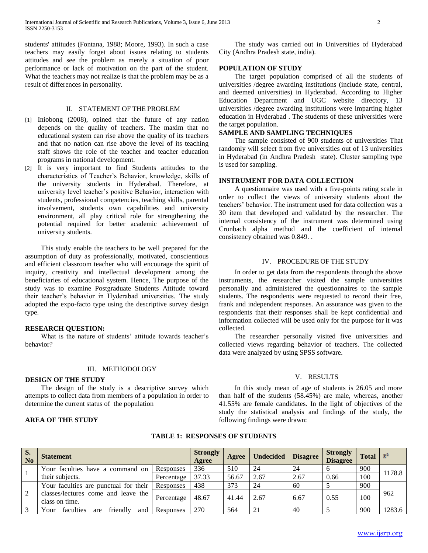students' attitudes (Fontana, 1988; Moore, 1993). In such a case teachers may easily forget about issues relating to students attitudes and see the problem as merely a situation of poor performance or lack of motivation on the part of the student. What the teachers may not realize is that the problem may be as a result of differences in personality.

### II. STATEMENT OF THE PROBLEM

- [1] Iniobong (2008), opined that the future of any nation depends on the quality of teachers. The maxim that no educational system can rise above the quality of its teachers and that no nation can rise above the level of its teaching staff shows the role of the teacher and teacher education programs in national development.
- [2] It is very important to find Students attitudes to the characteristics of Teacher's Behavior, knowledge, skills of the university students in Hyderabad. Therefore, at university level teacher's positive Behavior, interaction with students, professional competencies, teaching skills, parental involvement, students own capabilities and university environment, all play critical role for strengthening the potential required for better academic achievement of university students.

 This study enable the teachers to be well prepared for the assumption of duty as professionally, motivated, conscientious and efficient classroom teacher who will encourage the spirit of inquiry, creativity and intellectual development among the beneficiaries of educational system. Hence, The purpose of the study was to examine Postgraduate Students Attitude toward their teacher's behavior in Hyderabad universities. The study adopted the expo-facto type using the descriptive survey design type.

## **RESEARCH QUESTION:**

 What is the nature of students' attitude towards teacher's behavior?

## III. METHODOLOGY

### **DESIGN OF THE STUDY**

 The design of the study is a descriptive survey which attempts to collect data from members of a population in order to determine the current status of the population

#### **AREA OF THE STUDY**

 The study was carried out in Universities of Hyderabad City (Andhra Pradesh state, india).

## **POPULATION OF STUDY**

 The target population comprised of all the students of universities /degree awarding institutions (include state, central, and deemed universities) in Hyderabad. According to Higher Education Department and UGC website directory, 13 universities /degree awarding institutions were imparting higher education in Hyderabad . The students of these universities were the target population.

#### **SAMPLE AND SAMPLING TECHNIQUES**

 The sample consisted of 900 students of universities That randomly will select from five universities out of 13 universities in Hyderabad (in Andhra Pradesh state). Cluster sampling type is used for sampling.

## **INSTRUMENT FOR DATA COLLECTION**

 A questionnaire was used with a five-points rating scale in order to collect the views of university students about the teachers' behavior. The instrument used for data collection was a 30 item that developed and validated by the researcher. The internal consistency of the instrument was determined using Cronbach alpha method and the coefficient of internal consistency obtained was 0.849. .

#### IV. PROCEDURE OF THE STUDY

 In order to get data from the respondents through the above instruments, the researcher visited the sample universities personally and administered the questionnaires to the sample students. The respondents were requested to record their free, frank and independent responses. An assurance was given to the respondents that their responses shall be kept confidential and information collected will be used only for the purpose for it was collected.

 The researcher personally visited five universities and collected views regarding behavior of teachers. The collected data were analyzed by using SPSS software.

# V. RESULTS

 In this study mean of age of students is 26.05 and more than half of the students (58.45%) are male, whereas, another 41.55% are female candidates. In the light of objectives of the study the statistical analysis and findings of the study, the following findings were drawn:

| S.<br>N <sub>o</sub> | <b>Statement</b>                                      |            | Strongly<br>Agree | Agree | <b>Undecided</b> | <b>Disagree</b> | <b>Strongly</b><br><b>Disagree</b> | Total $\mathbb{R}^2$ |        |
|----------------------|-------------------------------------------------------|------------|-------------------|-------|------------------|-----------------|------------------------------------|----------------------|--------|
|                      | Your faculties have a command on                      | Responses  | 336               | 510   | 24               | 24              |                                    | 900                  | 1178.8 |
|                      | their subjects.                                       | Percentage | 37.33             | 56.67 | 2.67             | 2.67            | 0.66                               | 100                  |        |
|                      | Your faculties are punctual for their                 | Responses  | 438               | 373   | 24               | 60              |                                    | 900                  |        |
| 2                    | classes/lectures come and leave the<br>class on time. | Percentage | 48.67             | 41.44 | 2.67             | 6.67            | 0.55                               | 100                  | 962    |
| 3                    | faculties<br>friendly<br>Your<br>are<br>and           | Responses  | 270               | 564   | 21               | 40              |                                    | 900                  | 1283.6 |

#### **TABLE 1: RESPONSES OF STUDENTS**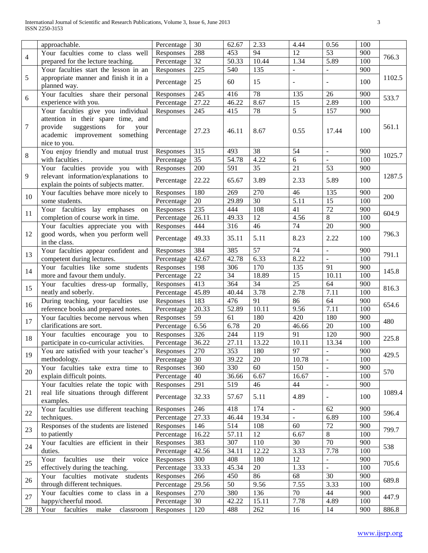|                | approachable.                                                                                                                 | Percentage              | 30           | 62.67        | 2.33            | 4.44                     | 0.56                     | 100        |        |
|----------------|-------------------------------------------------------------------------------------------------------------------------------|-------------------------|--------------|--------------|-----------------|--------------------------|--------------------------|------------|--------|
| $\overline{4}$ | Your faculties come to class well                                                                                             | Responses               | 288          | 453          | 94              | 12                       | 53                       | 900        | 766.3  |
|                | prepared for the lecture teaching.                                                                                            | Percentage              | 32           | 50.33        | 10.44           | 1.34                     | 5.89                     | 100        |        |
|                | Your faculties start the lesson in an                                                                                         | Responses               | 225          | 540          | 135             | $\overline{\phantom{a}}$ | $\overline{a}$           | 900        |        |
| 5              | appropriate manner and finish it in a                                                                                         | Percentage              | 25           | 60           | 15              | $\blacksquare$           |                          | 100        | 1102.5 |
|                | planned way.                                                                                                                  |                         |              |              |                 |                          |                          |            |        |
| 6              | Your faculties share their personal                                                                                           | Responses               | 245          | 416          | 78              | 135                      | 26                       | 900        | 533.7  |
|                | experience with you.                                                                                                          | Percentage              | 27.22        | 46.22        | 8.67            | $\overline{15}$          | 2.89                     | 100        |        |
|                | Your faculties give you individual                                                                                            | Responses               | 245          | 415          | 78              | $\overline{5}$           | 157                      | 900        |        |
| 7              | attention in their spare time, and<br>provide<br>suggestions<br>for<br>your<br>academic improvement something<br>nice to you. | Percentage              | 27.23        | 46.11        | 8.67            | 0.55                     | 17.44                    | 100        | 561.1  |
| 8              | You enjoy friendly and mutual trust                                                                                           | Responses               | 315          | 493          | 38              | 54                       | $\sim$                   | 900        | 1025.7 |
|                | with faculties.                                                                                                               | Percentage              | 35           | 54.78        | 4.22            | 6                        | $\overline{a}$           | 100        |        |
|                | Your faculties provide you with                                                                                               | Responses               | 200          | 591          | 35              | 21                       | 53                       | 900        |        |
| 9              | relevant information/explanations to<br>explain the points of subjects matter.                                                | Percentage              | 22.22        | 65.67        | 3.89            | 2.33                     | 5.89                     | 100        | 1287.5 |
| 10             | Your faculties behave more nicely to                                                                                          | Responses               | 180          | 269          | 270             | 46                       | 135                      | 900        | 200    |
|                | some students.                                                                                                                | Percentage              | 20           | 29.89        | $\overline{30}$ | 5.11                     | 15                       | 100        |        |
| 11             | Your faculties lay emphases on                                                                                                | Responses               | 235          | 444          | 108             | 41                       | 72                       | 900        | 604.9  |
|                | completion of course work in time.                                                                                            | Percentage              | 26.11        | 49.33        | 12              | 4.56                     | 8                        | 100        |        |
|                | Your faculties appreciate you with                                                                                            | Responses               | 444          | 316          | 46              | 74                       | 20                       | 900        |        |
| 12             | good words, when you perform well<br>in the class.                                                                            | Percentage              | 49.33        | 35.11        | 5.11            | 8.23                     | 2.22                     | 100        | 796.3  |
| 13             | Your faculties appear confident and                                                                                           | Responses               | 384          | 385          | 57              | 74                       | $\overline{\phantom{a}}$ | 900        | 791.1  |
|                | competent during lectures.                                                                                                    | Percentage              | 42.67        | 42.78        | 6.33            | 8.22                     | $\overline{\phantom{a}}$ | 100        |        |
| 14             | Your faculties like some students                                                                                             | Responses               | 198          | 306          | 170             | 135                      | 91                       | 900        | 145.8  |
|                | more and favour them unduly.                                                                                                  | Percentage              | 22           | 34           | 18.89           | 15<br>25                 | 10.11                    | 100        |        |
| 15             | Your faculties dress-up formally,                                                                                             | Responses               | 413          | 364          | 34              |                          | 64                       | 900        | 816.3  |
|                | neatly and soberly.<br>During teaching, your faculties use                                                                    | Percentage              | 45.89        | 40.44        | 3.78<br>91      | 2.78<br>86               | 7.11<br>64               | 100<br>900 |        |
| 16             | reference books and prepared notes.                                                                                           | Responses<br>Percentage | 183<br>20.33 | 476<br>52.89 | 10.11           | 9.56                     | 7.11                     | 100        | 654.6  |
|                | Your faculties become nervous when                                                                                            | Responses               | 59           | 61           | 180             | 420                      | 180                      | 900        |        |
| 17             | clarifications are sort.                                                                                                      | Percentage              | 6.56         | 6.78         | 20              | 46.66                    | 20                       | 100        | 480    |
|                | Your faculties encourage you to                                                                                               | Responses               | 326          | 244          | 119             | 91                       | 120                      | 900        |        |
| 18             | participate in co-curricular activities.                                                                                      | Percentage              | 36.22        | 27.11        | 13.22           | 10.11                    | 13.34                    | 100        | 225.8  |
|                | You are satisfied with your teacher's   Responses                                                                             |                         | 270          | 353          | 180             | 97                       | $\equiv$                 | 900        |        |
| 19             | methodology.                                                                                                                  | Percentage              | 30           | 39.22        | 20              | 10.78                    | $\overline{\phantom{a}}$ | 100        | 429.5  |
|                | Your faculties take extra time to                                                                                             | Responses               | 360          | 330          | 60              | 150                      | $\blacksquare$           | 900        |        |
| 20             | explain difficult points.                                                                                                     | Percentage              | 40           | 36.66        | 6.67            | 16.67                    | $\blacksquare$           | 100        | 570    |
|                | Your faculties relate the topic with                                                                                          | Responses               | 291          | 519          | 46              | 44                       | $\blacksquare$           | 900        |        |
| 21             | real life situations through different<br>examples.                                                                           | Percentage              | 32.33        | 57.67        | 5.11            | 4.89                     | $\overline{\phantom{a}}$ | 100        | 1089.4 |
|                | Your faculties use different teaching                                                                                         | Responses               | 246          | 418          | 174             | $\blacksquare$           | 62                       | 900        |        |
| 22             | techniques.                                                                                                                   | Percentage              | 27.33        | 46.44        | 19.34           | $\equiv$                 | 6.89                     | 100        | 596.4  |
| 23             | Responses of the students are listened                                                                                        | Responses               | 146          | 514          | 108             | 60                       | $72\,$                   | 900        | 799.7  |
|                | to patiently                                                                                                                  | Percentage              | 16.22        | 57.11        | 12              | 6.67                     | $\overline{8}$           | 100        |        |
| 24             | Your faculties are efficient in their                                                                                         | Responses               | 383          | 307          | 110             | 30                       | 70                       | 900        | 538    |
|                | duties.                                                                                                                       | Percentage              | 42.56        | 34.11        | 12.22           | 3.33                     | 7.78                     | 100        |        |
| 25             | faculties<br>their<br>Your<br>use<br>voice                                                                                    | Responses               | 300          | 408          | 180             | 12                       | $\blacksquare$           | 900        | 705.6  |
|                | effectively during the teaching.                                                                                              | Percentage              | 33.33        | 45.34        | 20              | 1.33                     | $\blacksquare$           | 100        |        |
| 26             | Your faculties motivate<br>students                                                                                           | Responses               | 266          | 450          | 86              | 68                       | 30                       | 900        | 689.8  |
|                | through different techniques.                                                                                                 | Percentage              | 29.56        | 50           | 9.56            | 7.55                     | 3.33                     | 100        |        |
| 27             | Your faculties come to class in a                                                                                             | Responses               | 270          | 380          | 136             | 70                       | 44                       | 900        | 447.9  |
|                | happy/cheerful mood.                                                                                                          | Percentage              | 30           | 42.22        | 15.11           | 7.78                     | 4.89                     | 100        |        |
| 28             | faculties<br>Your<br>make<br>classroom                                                                                        | Responses               | 120          | 488          | 262             | 16                       | 14                       | 900        | 886.8  |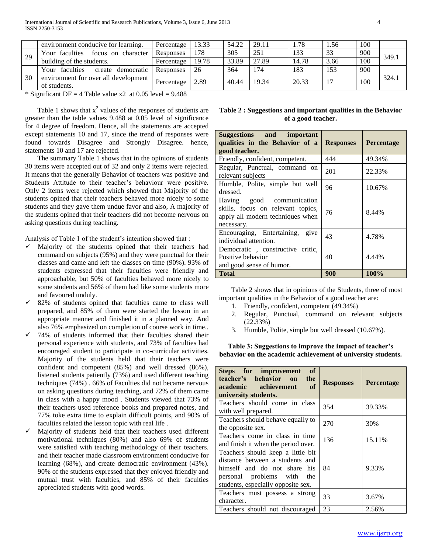|    | environment conducive for learning.       | Percentage | 13.33 | 54.22 | 29.11 | . . 78 | l.56 | 100 |       |
|----|-------------------------------------------|------------|-------|-------|-------|--------|------|-----|-------|
| 29 | Your faculties<br>focus on<br>character   | Responses  | 178   | 305   | 251   | 133    | 33   | 900 | 349.1 |
|    | building of the students.                 | Percentage | 19.78 | 33.89 | 27.89 | 14.78  | 3.66 | 100 |       |
|    | faculties<br>democratic<br>Your<br>create | Responses  | 26    | 364   | 174   | 183    | 153  | 900 |       |
| 30 | environment for over all development      | Percentage | 2.89  | 40.44 | 19.34 | 20.33  | 17   | 100 | 324.1 |
|    | of students.                              |            |       |       |       |        |      |     |       |

\* Significant DF = 4 Table value  $x2$  at 0.05 level = 9.488

Table 1 shows that  $x^2$  values of the responses of students are greater than the table values 9.488 at 0.05 level of significance for 4 degree of freedom. Hence, all the statements are accepted except statements 10 and 17, since the trend of responses were found towards Disagree and Strongly Disagree. hence, statements 10 and 17 are rejected.

 The summary Table 1 shows that in the opinions of students 30 items were accepted out of 32 and only 2 items were rejected. It means that the generally Behavior of teachers was positive and Students Attitude to their teacher's behaviour were positive. Only 2 items were rejected which showed that Majority of the students opined that their teachers behaved more nicely to some students and they gave them undue favor and also, A majority of the students opined that their teachers did not become nervous on asking questions during teaching.

Analysis of Table 1 of the student's intention showed that :

- $\checkmark$  Majority of the students opined that their teachers had command on subjects (95%) and they were punctual for their classes and came and left the classes on time (90%). 93% of students expressed that their faculties were friendly and approachable, but 50% of faculties behaved more nicely to some students and 56% of them had like some students more and favoured unduly.
- 82% of students opined that faculties came to class well prepared, and 85% of them were started the lesson in an appropriate manner and finished it in a planned way. And also 76% emphasized on completion of course work in time..
- $\checkmark$  74% of students informed that their faculties shared their personal experience with students, and 73% of faculties had encouraged student to participate in co-curricular activities. Majority of the students held that their teachers were confident and competent (85%) and well dressed (86%), listened students patiently (73%) and used different teaching techniques (74%) . 66% of Faculties did not became nervous on asking questions during teaching, and 72% of them came in class with a happy mood . Students viewed that 73% of their teachers used reference books and prepared notes, and 77% toke extra time to explain difficult points, and 90% of faculties related the lesson topic with real life .
- Majority of students held that their teachers used different motivational techniques (80%) and also 69% of students were satisfied with teaching methodology of their teachers. and their teacher made classroom environment conducive for learning (68%), and create democratic environment (43%). 90% of the students expressed that they enjoyed friendly and mutual trust with faculties, and 85% of their faculties appreciated students with good words.

|  | Table 2 : Suggestions and important qualities in the Behavior |  |
|--|---------------------------------------------------------------|--|
|  | of a good teacher.                                            |  |

| Suggestions and important<br>qualities in the Behavior of a<br>good teacher.                                     | <b>Responses</b> | Percentage |
|------------------------------------------------------------------------------------------------------------------|------------------|------------|
| Friendly, confident, competent.                                                                                  | 444              | 49.34%     |
| Regular, Punctual, command on<br>relevant subjects                                                               | 201              | 22.33%     |
| Humble, Polite, simple but well<br>dressed.                                                                      | 96               | 10.67%     |
| Having good communication<br>skills, focus on relevant topics,<br>apply all modern techniques when<br>necessary. | 76               | 8.44%      |
| Encouraging, Entertaining, give<br>individual attention.                                                         | 43               | 4.78%      |
| Democratic, constructive critic,<br>Positive behavior<br>and good sense of humor.                                | 40               | 4.44%      |
| <b>Total</b>                                                                                                     | 900              | 100%       |

 Table 2 shows that in opinions of the Students, three of most important qualities in the Behavior of a good teacher are:

- 1. Friendly, confident, competent (49.34%)
- 2. Regular, Punctual, command on relevant subjects (22.33%)
- 3. Humble, Polite, simple but well dressed (10.67%).

**Table 3: Suggestions to improve the impact of teacher's behavior on the academic achievement of university students.**

| <sub>of</sub><br>Steps for improvement<br>teacher's behavior on<br>the<br>academic achievement<br>of<br>university students.                                                | <b>Responses</b> | <b>Percentage</b> |
|-----------------------------------------------------------------------------------------------------------------------------------------------------------------------------|------------------|-------------------|
| Teachers should come in class<br>with well prepared.                                                                                                                        | 354              | 39.33%            |
| Teachers should behave equally to<br>the opposite sex.                                                                                                                      | 270              | 30%               |
| Teachers come in class in time<br>and finish it when the period over.                                                                                                       | 136              | 15.11%            |
| Teachers should keep a little bit<br>distance between a students and<br>himself and do not share<br>his<br>personal problems with the<br>students, especially opposite sex. | 84               | 9.33%             |
| Teachers must possess a strong<br>character.                                                                                                                                | 33               | 3.67%             |
| Teachers should not discouraged                                                                                                                                             | 23               | 2.56%             |